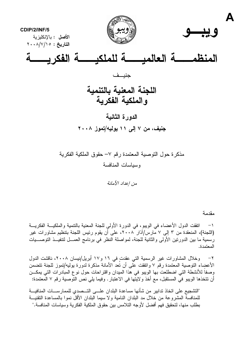

مذكر ة حول التوصية المعتمدة رقم ٧– حقوق الملكية الفكرية وسياسات المنافسة

من إعداد الأمانة

مقدمة

اتفقت الدول الأعضاء في الويبو ، في الدورة الأولى للجنة المعنية بالتنمية والملكيـــة الفكريـــة  $-1$ (اللجنة)، المنعقدة من ٣ إلى ٧ مارس/آذار ٢٠٠٨، على أن يقوم رئيس اللجنة بتنظيم مشاورات غير رسمية ما بين الدورنين الأولى والثانية للجنة، لمواصلة النظر في برنامج العمـــل لنتفيـــذ النوصــــيات المعتمدة.

وخلال المشاورات غير الرسمية التي عقدت في ١٦ و١٧ أبريل/نيسان ٢٠٠٨، ناقشت الدول  $-\tau$ الأعضٍاء النوصية المعتمدة رقم ٧ واتفقت على أن تُعدُّ الأمانة مذكرة لدورة بوليه/تموز للجنة نتضمَّن وصفاً للأنشطة التي اضطلعت بها الويبو في هذا الميدان واقتراحات حول نوع المبادرات التي يمكـــن أن تتخذها الويبو في المستقبل، مع أخذ ولايتها في الاعتبار . وفيما يلي نص التوصية رقم ٧ المعتمدة:

"التشجيع على اتخاذ تدابير من شأنها مساعدة البلدان علـــى التـــصدي للممارســـات المنافيـــة للمنافسة المشر و عة من خلال مد البلدان النامية و لا سيما البلدان الأقل نمو ا بالمساعدة التقنيـــة بطلب منها، لتحقيق فهم أفضل لأوجه التلامس بين حقوق الملكية الفكرية وسياسات المنافسة."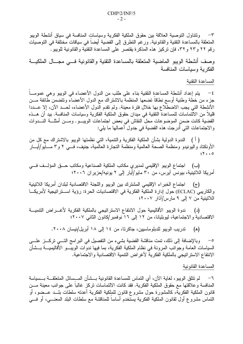ونتناول النوصية العلاقة بين حقوق الملكية الفكرية وسياسات المنافسة في سياق أنشطة الويبو  $-\tau$ المتعلقة بالمساعدة النقنية والقانونية. ورغم النطرق إلى القضية أيضا في سياقات مختلفة في التوصيات رِ قم ٢٢ و٢٣ و ٢٣، فإن تركيز ٍ هذه المذكر ة يقتصر على المساعدة التقنية والقانونية للويبو .

وصف أنشطة الويبو الماضية المتعلقة بالمساعدة التقنية والقانونية فسى مجال الملكية الفكر ية وسياسات المنافسة

## المساعدة التقنية

يتم إعداد أنشطة المساعدة التقنية بناء على طلب من الدول الأعضاء في الويبو وهي عمومــا  $-\xi$ جزء من خطة وطنية أوسع نطاقًا نضعها المنظمة بالاشتراك مع الدول الأعضاء ونتضمن طائفة مـــن الأنشطة التي يجب الاضطلاع بها خلال فترة معينة. ولم نقدم الدول الأعضاء، لحــد الآن، إلا عـــددا قليلا من الالتماسات للمساعدة التقنية في ميدان حقوق الملكية الفكرية وسياسات المنافسة. بيد أن هـــذه القضية كانت ضمن الموضوعات محل النقاش في بعض اجتماعات الويبـــو . ومـــن أمثلــــة النــــدوات والاجتماعات التي أُدرِجت هذه القضية في جدول أعمالها ما يلي:

( أ ) الندوة الدولية بشأن الملكية الفكرية والتنمية، التي نظمتها الويبو بالاشتراك مع كل من الأونكتاد واليونيدو ومنظمة الصحة العالمية ومنظمة التجارة العالمية، جنيف، فـــي ٢ و٣ مـــايو/أيـــار  $Y \cdot \cdot 0$ 

(ب) اجتماع الويبو الإقليمي لمديري مكاتب الملكية الصناعية ومكاتب حـق المؤلـف فــي أمريكا اللاتينية، بيونس آيرس، من ٣٠ مايو/أيار إلى ٢ يونيه/حزيران ٢٠٠٦؛

اجتماع الخبراء الإقليمي المشترك بين الويبو واللجنة الاقتصادية لبلدان أمريكا اللاتينية  $(\tau)$ والكاريبي (ECLAC) حول إدارة الملكية الفكرية في الاقتصاديات الحرة: رؤية اســـنر انيجية لأمريكـــا اللاتينية من ٧ إلىي ٩ مارس/آذار ٢٠٠٧؛

(د) ندوة الويبو الأقاليمية حول الانتفاع الاستراتيجي بالملكية الفكرية لأغـــراض التتميـــة الاقتصادية والاجتماعية، ليوبليانا، من ١٢ إلى ١٦ نوفمبر/كانون الثاني ٢٠٠٧؛

> تدريب الويبو للدبلوماسيين، جاكرتا، من ١٤ إلى ١٨ أبريل/نيسان ٢٠٠٨. (ه)

وبالإضافة إلى ذلك، تمت مناقشة القضية بشيء من التفصيل في البر امج التـــي تركـــز علــــي  $-\circ$ السياسات العامة وجوانب المرونة في نظام الملكية الفكرية، بما فيها ندوات الويبـــو الأقاليميــــة بـــشأن الانتفاع الاستر اتيجي بالملكية الفكرية لأغراض النتمية الاقتصادية والاجتماعية.

المساعدة القانو نبة

لم نتلق الويبو ، لغاية الآن، أي النماس للمساعدة القانونية بـــشأن المـــسائل المتعلقـــة بـــسياسة  $-7$ المنافسة وعلاقتها مع حقوق الملكية الفكرية. فقد كانت الالتماسات نركز غالباً على جوانب معينة مـــن قانون الملكية الفكرية، كالمشورة حول مشروع قانون للملكية الفكرية أعدته سلطات بلـــد عـــضو، أو النماس مشروع أول لقانون الملكية الفكرية يستخدم أساسا للمناقشة مع سلطات البلد المعنـــي، أو فـــي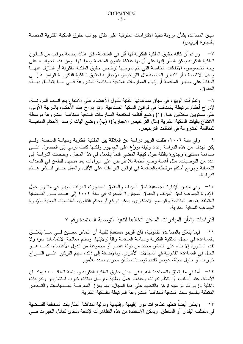سياق المساعدة بشأن مرونة تنفيذ الالتز امات المترتبة على اتفاق جوانب حقوق الملكية الفكرية المتصلة بالتجار ة (تريبس).

√− ورغم أن كافة حقوق الملكية الفكرية لها أثر في المنافسة، فإن هناك بضعة جوانب من قـــانون الملكية الفكرية يمكن النظر إليها على أن لها علاقة بقانون المنافسة وسياستها. ومن هذه الجوانب، على وجه الخصوص، الاتفاقات الخاصة التي يتم بموجبها ترخيص حقوق الملكية الفكرية أو التتازل عنهـــا وسبل الانتصاف أو التدابير الخاصة مثل التراخيص الإجبارية لحقوق الملكية الفكريسة الراميسة إلسى الحفاظ على معايير المنافسة أو إنهاء الممارسات المنافية للمنافسة المشروعة فـــي مــــا يتعلـــق بـهـــذه الحقو ق.

٨– وتطر قت الويبو ، في سياق مساعدتها التقنية للدول الأعضاء على الانتفاع بجو انــب المر ونـــة، لإدراج أحكام مرتبطة بالمنافسة في قوانين الملكية الصناعية. وتم إدراج هذه الأحكام، بالدرجة الأولى، على مستويين مختلفين هما: (١) وضع أنظمة لمكافحة الممارسات المنافية للمنافسة المشروعة بواسطة الانتفاع بآليات الملكية الفكرية (مثل التراخيص الإجبارية)؛ (ب) ووضع آليات لرصد الأحكام المنافيـــة للمنافسة المشروعة في اتفاقات الترخيص.

وفي سنة ٢٠٠٦، طلبت الويبو دراسة عن العلاقة بين الملكية الفكرية وسياسة المنافسة. ولــم  $-9$ يكن الهدف من هذه الدراسة إعداد وثيقة نوزًع على الجمهور ولكنها كانت نرمي إلى الحصول علــــى مساهمة مستنيرة وجديرة بالثقة حول كيفية المضبي قدما بالعمل في هذا المجال. وخلصت الدراسة إلى عدد من التوصيات، مثل أهمية وضع أنظمة للاعتراض على البراءات بعد منحها، للطعن في السندات التعسفية وإدراج أحكام مرتبطة بالمناّفسة في قوانين البراءات على الأقل. والعمل جـــار لنــــشر هـــذه الدر اسة.

١٠– وفي ميدان الإدارة الجماعية لحق المؤلف والحقوق المجاورة، تطرقت الويبو في منشور حول "الإدارة الجماعية لحق المؤلف والحقوق المجاورة" أصدرته في سنة ٢٠٠٢ إلى عــدد مـــن القـــضايا المتعلقة بقواعد المنافسة والوضع الاحتكاري، بحكم الواقع أو بحكم القانون، للمنظمات المعنية بالإدارة الجماعبة للملكبة الفكر بة.

اقتر احات بشأن المبادر ات الممكن اتخاذها لتنفيذ التوصبية المعتمدة رقم ٧

1 'ר فيما يتعلق بالمساعدة القانونية، فإن الويبو مستعدة لتلبية أي التماس معـــين فـــي مــــا يتعلـــق بالمساعدة في مجال الملكية الفكرية وسياسة المنافسة وفقا لولايتها. وستتم معالجة الالتماسات سرا ولا نقدم المشورة إلا بناء على النماس محدد من دولة عضو أو مجموعة من الدول الأعضاء، كمــــا هـــو الحال في المساعدة القانونية في المجالات الأخرى. وبالإضافة إلى ذلك، سيتم التركيز علـــي اقتـــراح خيارات أو حلول بديلة، عوض تقديم توصيات بشأن مجرى محدد للأمور .

١٢ – أما في ما يتعلق بالمساعدة النقنية في ميدان حقوق الملكية الفكرية وسياسة المنافسمة فبإمكـــان الأمانة، عند الطلب، أن نتظم ندوات وحلقات عمل وطنية وإرسال بعثات خبراء استشاريين وندريبات داخلية وزيارات دراسية نركز بالتحديد على هذا المجال، مما يعزز المعرفـــة بالـــسياسات والتـــدابير المتعلقة بالممار سات المنافية للمنافسة المشر وعة المر تبطة بالملكية الفكر ية.

ويمكن أيضآ نتظيم نظاهرات دون إقليمية وإقليمية ودولية لمناقشة المقاربات المختلفة للقــضية  $-11$ في مختلف البلدان أو المناطق. ويمكن الاستفادة من هذه التظاهرات لإتاحة منتدى لتبادل الخبر ات فـــي